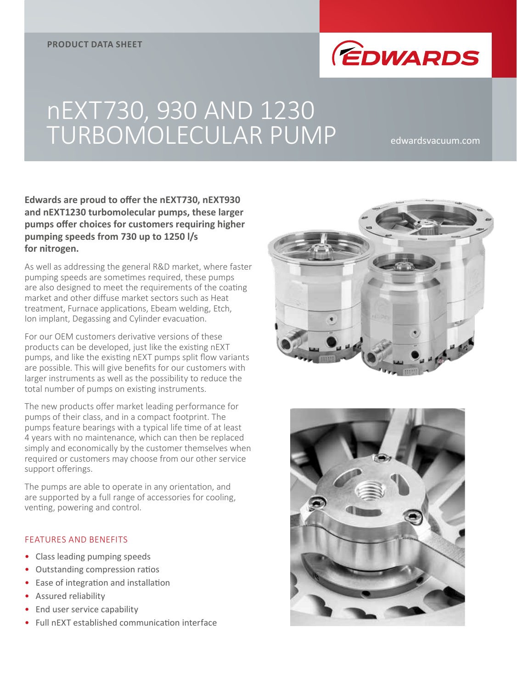

## nEXT730, 930 AND 1230 TURBOMOLECULAR PUMP edwardsvacuum.com

**Edwards are proud to offer the nEXT730, nEXT930 and nEXT1230 turbomolecular pumps, these larger pumps offer choices for customers requiring higher pumping speeds from 730 up to 1250 l/s for nitrogen.**

As well as addressing the general R&D market, where faster pumping speeds are sometimes required, these pumps are also designed to meet the requirements of the coating market and other diffuse market sectors such as Heat treatment, Furnace applications, Ebeam welding, Etch, Ion implant, Degassing and Cylinder evacuation.

For our OEM customers derivative versions of these products can be developed, just like the existing nEXT pumps, and like the existing nEXT pumps split flow variants are possible. This will give benefits for our customers with larger instruments as well as the possibility to reduce the total number of pumps on existing instruments.

The new products offer market leading performance for pumps of their class, and in a compact footprint. The pumps feature bearings with a typical life time of at least 4 years with no maintenance, which can then be replaced simply and economically by the customer themselves when required or customers may choose from our other service support offerings.

The pumps are able to operate in any orientation, and are supported by a full range of accessories for cooling, venting, powering and control.

## FEATURES AND BENEFITS

- Class leading pumping speeds
- Outstanding compression ratios
- Ease of integration and installation
- Assured reliability
- End user service capability
- Full nEXT established communication interface